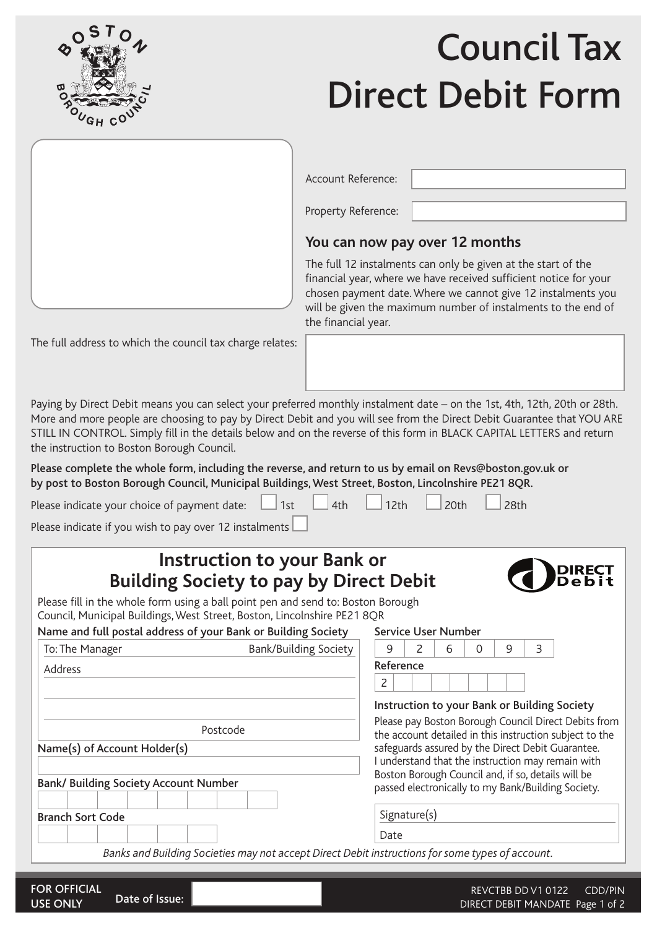

# Council Tax Direct Debit Form



#### Account Reference:

Property Reference:

## **You can now pay over 12 months**

Service User Number

The full 12 instalments can only be given at the start of the financial year, where we have received sufficient notice for your chosen payment date. Where we cannot give 12 instalments you will be given the maximum number of instalments to the end of the financial year.

The full address to which the council tax charge relates:

Paying by Direct Debit means you can select your preferred monthly instalment date – on the 1st, 4th, 12th, 20th or 28th. More and more people are choosing to pay by Direct Debit and you will see from the Direct Debit Guarantee that YOU ARE STILL IN CONTROL. Simply fill in the details below and on the reverse of this form in BLACK CAPITAL LETTERS and return the instruction to Boston Borough Council.

Please complete the whole form, including the reverse, and return to us by email on Revs@boston.gov.uk or by post to Boston Borough Council, Municipal Buildings, West Street, Boston, Lincolnshire PE21 8QR.

| Please indicate your choice of payment date: $\Box$ 1st $\Box$ 4th $\Box$ 12th $\Box$ 20th $\Box$ 28th |  |  |  |
|--------------------------------------------------------------------------------------------------------|--|--|--|
|--------------------------------------------------------------------------------------------------------|--|--|--|

Please indicate if you wish to pay over 12 instalments

## **Instruction to your Bank or Building Society to pay by Direct Debit**



Please fill in the whole form using a ball point pen and send to: Boston Borough Council, Municipal Buildings, West Street, Boston, Lincolnshire PE21 8QR

| Name and full postal address of your Bank or Building Society |
|---------------------------------------------------------------|
|---------------------------------------------------------------|

| To: The Manager                                                                                  | <b>Bank/Building Society</b> | 9                                                                                                      |                                                                                                                 | 2 | 6                                            | 0 | 9 | 3 |                                                    |  |  |  |  |
|--------------------------------------------------------------------------------------------------|------------------------------|--------------------------------------------------------------------------------------------------------|-----------------------------------------------------------------------------------------------------------------|---|----------------------------------------------|---|---|---|----------------------------------------------------|--|--|--|--|
| Address                                                                                          |                              |                                                                                                        | Reference                                                                                                       |   |                                              |   |   |   |                                                    |  |  |  |  |
|                                                                                                  |                              | 2                                                                                                      |                                                                                                                 |   |                                              |   |   |   |                                                    |  |  |  |  |
|                                                                                                  |                              |                                                                                                        |                                                                                                                 |   | Instruction to your Bank or Building Society |   |   |   |                                                    |  |  |  |  |
| Postcode                                                                                         |                              |                                                                                                        | Please pay Boston Borough Council Direct Debits from<br>the account detailed in this instruction subject to the |   |                                              |   |   |   |                                                    |  |  |  |  |
| Name(s) of Account Holder(s)                                                                     |                              | safeguards assured by the Direct Debit Guarantee.<br>I understand that the instruction may remain with |                                                                                                                 |   |                                              |   |   |   |                                                    |  |  |  |  |
|                                                                                                  |                              |                                                                                                        |                                                                                                                 |   |                                              |   |   |   | Boston Borough Council and, if so, details will be |  |  |  |  |
| <b>Bank/ Building Society Account Number</b>                                                     |                              |                                                                                                        |                                                                                                                 |   |                                              |   |   |   | passed electronically to my Bank/Building Society. |  |  |  |  |
| <b>Branch Sort Code</b>                                                                          |                              |                                                                                                        | Signature(s)                                                                                                    |   |                                              |   |   |   |                                                    |  |  |  |  |
|                                                                                                  |                              | Date                                                                                                   |                                                                                                                 |   |                                              |   |   |   |                                                    |  |  |  |  |
| Banks and Building Societies may not accept Direct Debit instructions for some types of account. |                              |                                                                                                        |                                                                                                                 |   |                                              |   |   |   |                                                    |  |  |  |  |